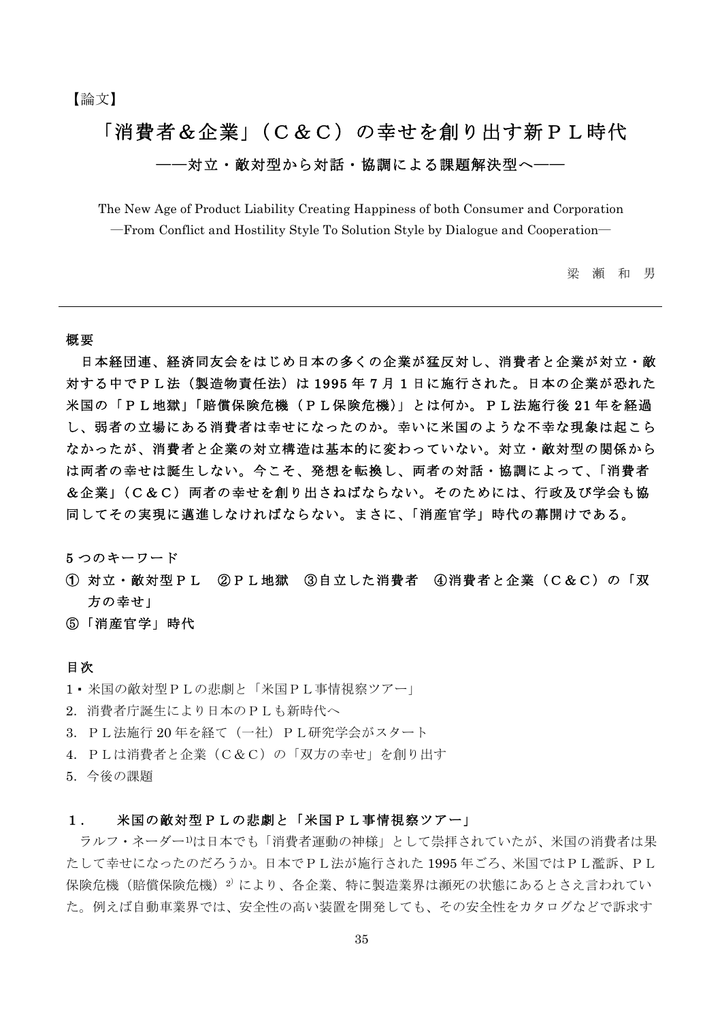# 「消費者&企業」(C&C)の幸せを創り出す新PL時代 -対立・敵対型から対話・協調による課題解決型へ-

The New Age of Product Liability Creating Happiness of both Consumer and Corporation -From Conflict and Hostility Style To Solution Style by Dialogue and Cooperation-

> 瀬和男 梁

#### 概要

日本経団連、経済同友会をはじめ日本の多くの企業が猛反対し、消費者と企業が対立・敵 対する中でPL法(製造物責任法)は1995年7月1日に施行された。日本の企業が恐れた 米国の「PL地獄」「賠償保険危機(PL保険危機)」とは何か。PL法施行後 21 年を経過 し、弱者の立場にある消費者は幸せになったのか。幸いに米国のような不幸な現象は起こら なかったが、消費者と企業の対立構造は基本的に変わっていない。対立・敵対型の関係から は両者の幸せは誕生しない。今こそ、発想を転換し、両者の対話・協調によって、「消費者 &企業」(C&C) 両者の幸せを創り出さねばならない。そのためには、行政及び学会も協 同してその実現に邁進しなければならない。まさに、「消産官学」時代の幕開けである。

5 つのキーワード

- ②PL地獄 ③自立した消費者 ④消費者と企業 (C&C) の「双 1 対立・敵対型 P L 方の幸せ」
- 5「消産官学」時代

#### 目次

- 1·米国の敵対型PLの悲劇と「米国PL事情視察ツアー」
- 2. 消費者庁誕生により日本のPLも新時代へ
- 3. PL法施行20年を経て(一社) PL研究学会がスタート
- 4. PLは消費者と企業 (C&C) の「双方の幸せ」を創り出す
- 5. 今後の課題

#### 米国の敵対型PLの悲劇と「米国PL事情視察ツアー」  $1$ .

ラルフ・ネーダー1)は日本でも「消費者運動の神様」として崇拝されていたが、米国の消費者は果 たして幸せになったのだろうか。日本でPL法が施行された1995年ごろ、米国ではPL濫訴、PL 保険危機(賠償保険危機)2)により、各企業、特に製造業界は瀕死の状態にあるとさえ言われてい た。例えば自動車業界では、安全性の高い装置を開発しても、その安全性をカタログなどで訴求す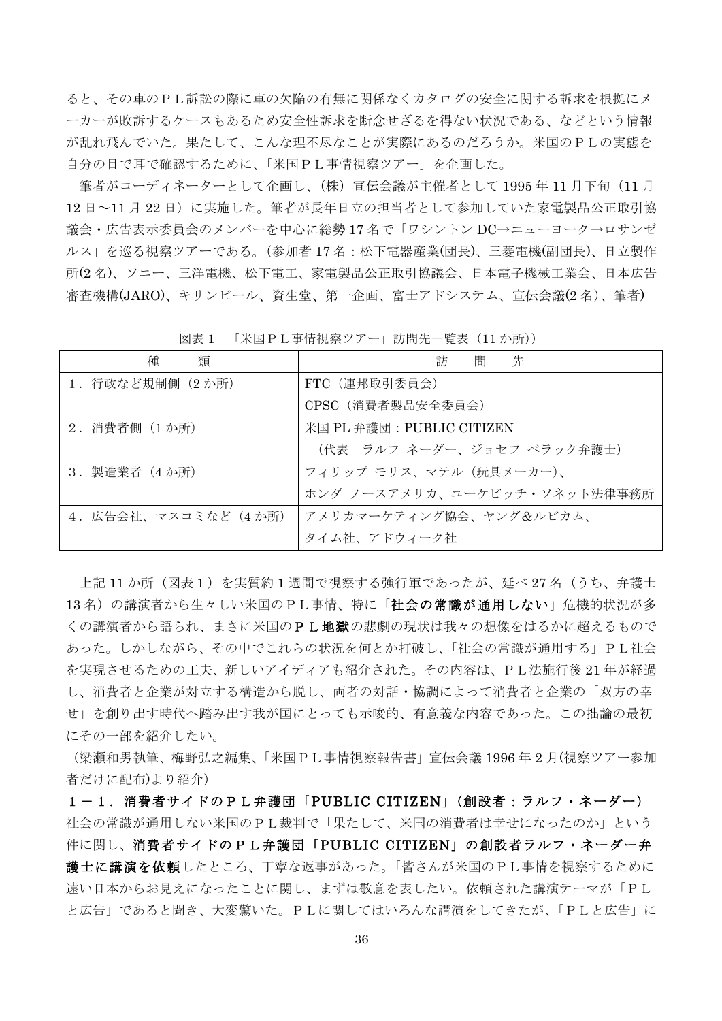ると、その車のPL訴訟の際に車の欠陥の有無に関係なくカタログの安全に関する訴求を根拠にメ 一カーが敗訴するケースもあるため安全性訴求を断念せざるを得ない状況である、などという情報 が乱れ飛んでいた。果たして、こんな理不尽なことが実際にあるのだろうか。米国のPLの実態を 自分の目で耳で確認するために、「米国PL事情視察ツアー」を企画した。

筆者がコーディネーターとして企画し、(株) 宣伝会議が主催者として1995年11月下旬 (11月 12日~11月22日)に実施した。筆者が長年日立の担当者として参加していた家電製品公正取引協 議会・広告表示委員会のメンバーを中心に総勢 17 名で「ワシントン DC→ニューヨーク→ロサンゼ ルス」を巡る視察ツアーである。(参加者17名:松下電器産業(団長)、三菱電機(副団長)、日立製作 所(2名)、ソニー、三洋電機、松下電工、家電製品公正取引協議会、日本電子機械工業会、日本広告 審査機構(JARO)、キリンビール、資生堂、第一企画、富士アドシステム、宣伝会議(2 名)、筆者)

| 種<br>類               | 訪<br>間<br>先                  |
|----------------------|------------------------------|
| 1. 行政など規制側 (2か所)     | FTC (連邦取引委員会)                |
|                      | CPSC (消費者製品安全委員会)            |
| 2. 消費者側 (1か所)        | 米国 PL 弁護団: PUBLIC CITIZEN    |
|                      | (代表 ラルフ ネーダー、ジョセフ ベラック弁護士)   |
| 3. 製造業者 (4か所)        | フィリップ モリス、マテル (玩具メーカー)、      |
|                      | ホンダ ノースアメリカ、ユーケビッチ・ソネット法律事務所 |
| 4. 広告会社、マスコミなど (4か所) | アメリカマーケティング協会、ヤング&ルビカム、      |
|                      | タイム社、アドウィーク社                 |

図表 1 「米国PL事情視察ツアー」訪問先一覧表 (11 か所))

上記11か所(図表1)を実質約1週間で視察する強行軍であったが、延べ27名(うち、弁護士 13名)の講演者から生々しい米国のPL事情、特に「社会の常識が通用しない」危機的状況が多 くの講演者から語られ、まさに米国のPL地獄の悲劇の現状は我々の想像をはるかに超えるもので あった。しかしながら、その中でこれらの状況を何とか打破し、「社会の常識が通用する」PL社会 を実現させるための工夫、新しいアイディアも紹介された。その内容は、PL法施行後 21 年が経過 し、消費者と企業が対立する構造から脱し、両者の対話・協調によって消費者と企業の「双方の幸 せ」を創り出す時代へ踏み出す我が国にとっても示唆的、有意義な内容であった。この拙論の最初 にその一部を紹介したい。

(梁瀬和男執筆、梅野弘之編集、「米国PL事情視察報告書」宣伝会議 1996 年 2 月(視察ツアー参加 者だけに配布)より紹介)

1-1. 消費者サイドのPL弁護団「PUBLIC CITIZEN」(創設者:ラルフ・ネーダー) 社会の常識が通用しない米国のPL裁判で「果たして、米国の消費者は幸せになったのか」という 件に関し、消費者サイドのPL弁護団「PUBLIC CITIZEN」の創設者ラルフ・ネーダー弁 護士に講演を依頼したところ、丁寧な返事があった。「皆さんが米国のPL事情を視察するために 遠い日本からお見えになったことに関し、まずは敬意を表したい。依頼された講演テーマが「PL と広告」であると聞き、大変驚いた。PLに関してはいろんな講演をしてきたが、「PLと広告」に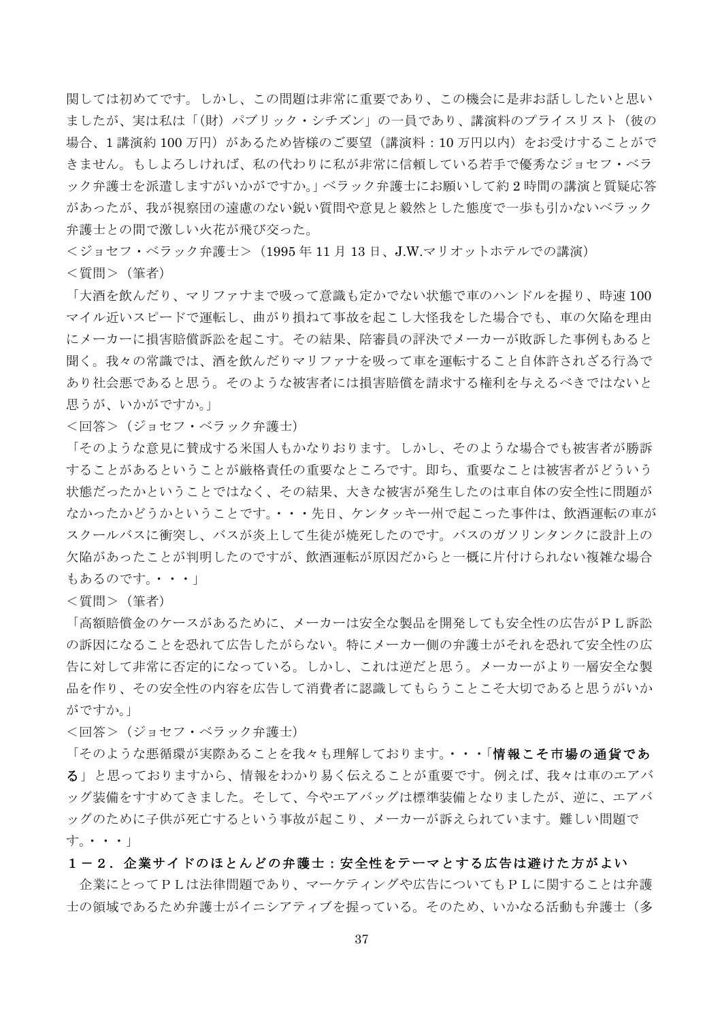関しては初めてです。しかし、この問題は非常に重要であり、この機会に是非お話ししたいと思い ましたが、実は私は「(財) パブリック・シチズン」の一員であり、講演料のプライスリスト(彼の 場合、1 講演約100万円)があるため皆様のご要望(講演料:10万円以内)をお受けすることがで きません。もしよろしければ、私の代わりに私が非常に信頼している若手で優秀なジョセフ・ベラ ック弁護士を派遣しますがいかがですか。」ベラック弁護士にお願いして約2時間の講演と質疑応答 があったが、我が視察団の遠慮のない鋭い質問や意見と毅然とした熊度で一歩も引かないベラック 弁護士との間で激しい火花が飛び交った。

<ジョセフ·ベラック弁護士> (1995年11月13日、J.W.マリオットホテルでの講演) <質問> (筆者)

「大酒を飲んだり、マリファナまで吸って意識も定かでない状態で車のハンドルを握り、時速100 マイル近いスピードで運転し、曲がり損ねて事故を起こし大怪我をした場合でも、車の欠陥を理由 にメーカーに損害賠償訴訟を起こす。その結果、陪審員の評決でメーカーが敗訴した事例もあると 聞く。我々の常識では、酒を飲んだりマリファナを吸って車を運転すること自体許されざる行為で あり社会悪であると思う。そのような被害者には損害賠償を請求する権利を与えるべきではないと 思うが、いかがですか。」

<回答> (ジョセフ・ベラック弁護士)

「そのような意見に替成する米国人もかなりおります。しかし、そのような場合でも被害者が勝訴 することがあるということが厳格責任の重要なところです。即ち、重要なことは被害者がどういう 状態だったかということではなく、その結果、大きな被害が発生したのは車自体の安全性に問題が なかったかどうかということです。・・・先日、ケンタッキー州で起こった事件は、飲酒運転の車が スクールバスに衝突し、バスが炎上して生徒が焼死したのです。バスのガソリンタンクに設計上の 欠陥があったことが判明したのですが、飲酒運転が原因だからと一概に片付けられない複雑な場合 もあるのです。•••

<質問> (筆者)

「高額賠償金のケースがあるために、メーカーは安全な製品を開発しても安全性の広告がPL訴訟 の訴因になることを恐れて広告したがらない。特にメーカー側の弁護士がそれを恐れて安全性の広 告に対して非常に否定的になっている。しかし、これは逆だと思う。メーカーがより一層安全な製 品を作り、その安全性の内容を広告して消費者に認識してもらうことこそ大切であると思うがいか がですか。」

<回答> (ジョセフ・ベラック弁護士)

「そのような悪循環が実際あることを我々も理解しております。・・・「情報こそ市場の通貨であ る」と思っておりますから、情報をわかり易く伝えることが重要です。例えば、我々は車のエアバ ッグ装備をすすめてきました。そして、今やエアバッグは標準装備となりましたが、逆に、エアバ ッグのために子供が死亡するという事故が起こり、メーカーが訴えられています。難しい問題で  $\uparrow$  . ..

#### 1-2. 企業サイドのほとんどの弁護士:安全性をテーマとする広告は避けた方がよい

企業にとってPLは法律問題であり、マーケティングや広告についてもPLに関することは弁護 士の領域であるため弁護士がイニシアティブを握っている。そのため、いかなる活動も弁護士(多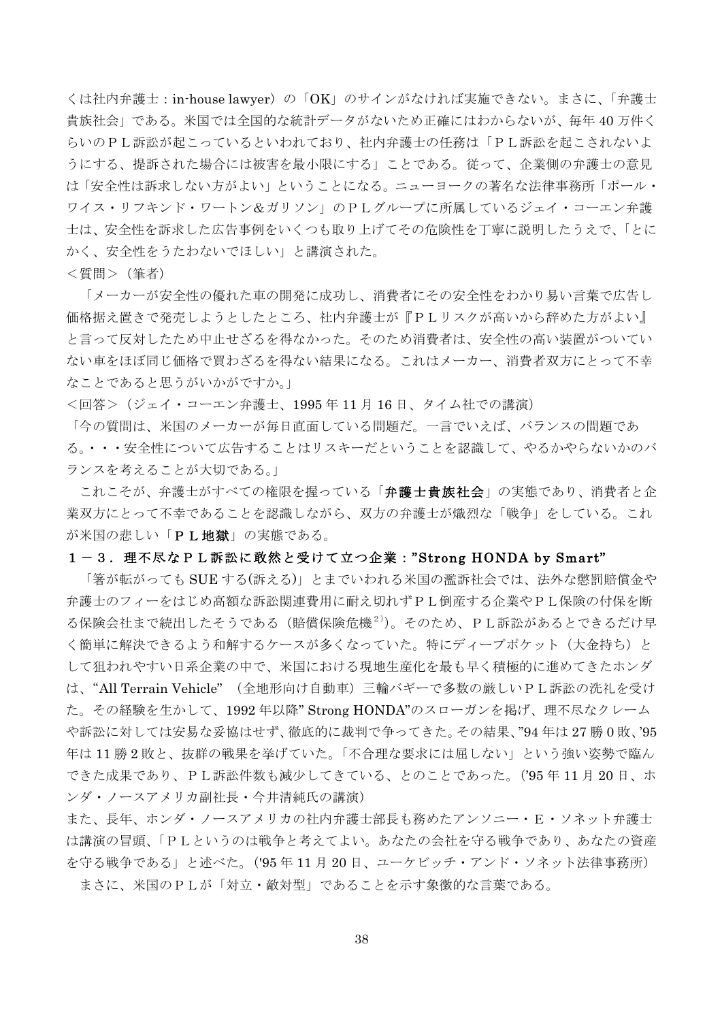くは社内弁護士: in-house lawyer)の「OK」のサインがなければ実施できない。まさに、「弁護士 貴族社会」である。米国では全国的な統計データがないため正確にはわからないが、毎年40万件く らいのPL訴訟が起こっているといわれており、社内弁護士の任務は「PL訴訟を起こされないよ うにする、提訴された場合には被害を最小限にする」ことである。従って、企業側の弁護士の意見 は「安全性は訴求しない方がよい」ということになる。ニューヨークの著名な法律事務所「ポール・ ワイス・リフキンド・ワートン&ガリソン」のPLグループに所属しているジェイ・コーエン弁護 士は、安全性を訴求した広告事例をいくつも取り上げてその危険性を丁寧に説明したうえで、「とに かく、安全性をうたわないでほしい」と講演された。

<質問> (筆者)

「メーカーが安全性の優れた車の開発に成功し、消費者にその安全性をわかり易い言葉で広告し 価格据え置きで発売しようとしたところ、社内弁護士が『PLリスクが高いから辞めた方がよい』 と言って反対したため中止せざるを得なかった。そのため消費者は、安全性の高い装置がついてい ない車をほぼ同じ価格で買わざるを得ない結果になる。これはメーカー、消費者双方にとって不幸 なことであると思うがいかがですか。」

<回答>(ジェイ・コーエン弁護士、1995年11月16日、タイム社での講演)

「今の質問は、米国のメーカーが毎日直面している問題だ。一言でいえば、バランスの問題であ る。・・・安全性について広告することはリスキーだということを認識して、やるかやらないかのバ ランスを考えることが大切である。

これこそが、弁護士がすべての権限を握っている「**弁護士貴族社会**」の実態であり、消費者と企 業双方にとって不幸であることを認識しながら、双方の弁護士が熾烈な「戦争」をしている。これ が米国の悲しい「PL地獄」の実態である。

#### 1-3. 理不尽なPL訴訟に敢然と受けて立つ企業:"Strong HONDA by Smart"

「箸が転がっても SUE する(訴える)」とまでいわれる米国の濫訴社会では、法外な懲罰賠償金や 弁護士のフィーをはじめ高額な訴訟関連費用に耐え切れずPL倒産する企業やPL保険の付保を断 る保険会社まで続出したそうである(賠償保険危機<sup>2)</sup>)。そのため、PL訴訟があるとできるだけ早 く簡単に解決できるよう和解するケースが多くなっていた。特にディープポケット(大金持ち)と して狙われやすい日系企業の中で、米国における現地生産化を最も早く積極的に進めてきたホンダ は、"All Terrain Vehicle" (全地形向け自動車) 三輪バギーで多数の厳しいPL訴訟の洗礼を受け た。その経験を生かして、1992年以降"Strong HONDA"のスローガンを掲げ、理不尽なクレーム や訴訟に対しては安易な妥協はせず、徹底的に裁判で争ってきた。その結果、"94年は27勝0敗、'95 年は11勝2敗と、抜群の戦果を挙げていた。「不合理な要求には屈しない」という強い姿勢で臨ん できた成果であり、PL訴訟件数も減少してきている、とのことであった。('95年11月20日、ホ ンダ・ノースアメリカ副社長·今井清純氏の講演)

また、長年、ホンダ・ノースアメリカの社内弁護士部長も務めたアンソニー・E・ソネット弁護士 は講演の冒頭、「PLというのは戦争と考えてよい。あなたの会社を守る戦争であり、あなたの資産 を守る戦争である」と述べた。('95年11月20日、ユーケビッチ・アンド・ソネット法律事務所)

まさに、米国のPLが「対立·敵対型」であることを示す象徴的な言葉である。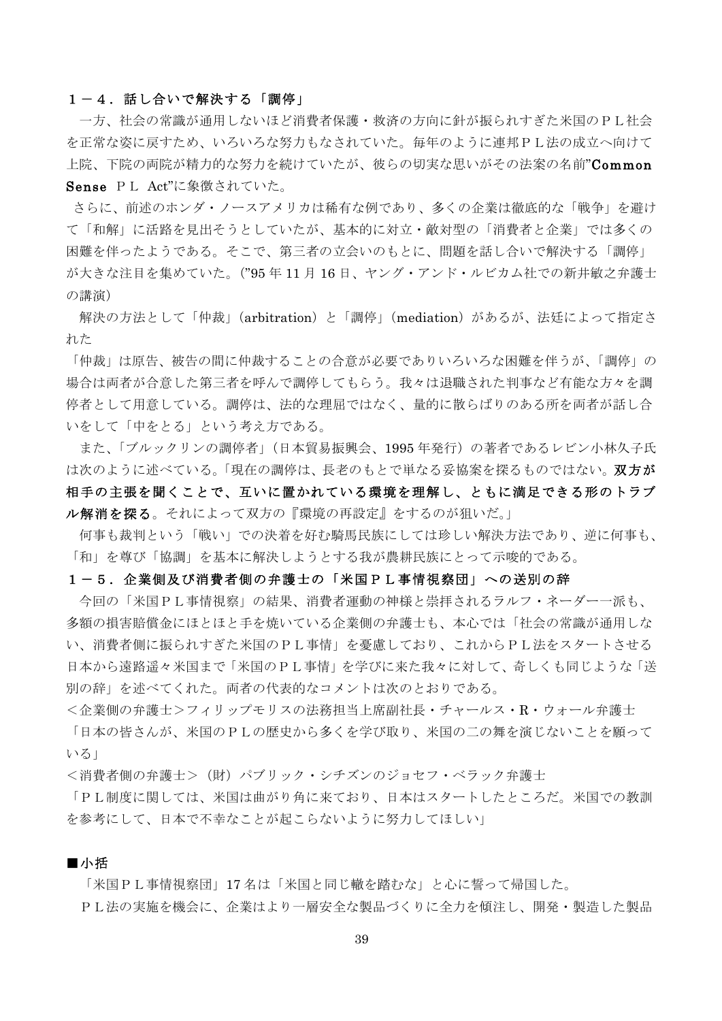#### 1-4. 話し合いで解決する「調停」

一方、社会の常識が通用しないほど消費者保護·救済の方向に針が振られすぎた米国のPL社会 を正常な姿に戻すため、いろいろな努力もなされていた。毎年のように連邦PL法の成立へ向けて 上院、下院の両院が精力的な努力を続けていたが、彼らの切実な思いがその法案の名前"Common Sense PL Act"に象徴されていた。

さらに、前述のホンダ・ノースアメリカは稀有な例であり、多くの企業は徹底的な「戦争」を避け て「和解」に活路を見出そうとしていたが、基本的に対立·敵対型の「消費者と企業」では多くの 困難を伴ったようである。そこで、第三者の立会いのもとに、問題を話し合いで解決する「調停」 が大きな注目を集めていた。("95年11月16日、ヤング・アンド・ルビカム社での新井敏之弁護士 の講演)

解決の方法として「仲裁」(arbitration)と「調停」(mediation)があるが、法廷によって指定さ れた

「仲裁」は原告、被告の間に仲裁することの合意が必要でありいろいろな困難を伴うが、「調停」の 場合は両者が合意した第三者を呼んで調停してもらう。我々は退職された判事など有能な方々を調 停者として用意している。調停は、法的な理屈ではなく、量的に散らばりのある所を両者が話し合 いをして「中をとる」という考え方である。

また、「ブルックリンの調停者」(日本貿易振興会、1995年発行)の著者であるレビン小林久子氏 は次のように述べている。「現在の調停は、長老のもとで単なる妥協案を探るものではない。双方が 相手の主張を聞くことで、互いに置かれている環境を理解し、ともに満足できる形のトラブ ル解消を探る。それによって双方の『環境の再設定』をするのが狙いだ。

何事も裁判という「戦い」での決着を好む騎馬民族にしては珍しい解決方法であり、逆に何事も、 「和」を尊び「協調」を基本に解決しようとする我が農耕民族にとって示唆的である。

#### 1-5. 企業側及び消費者側の弁護士の「米国PL事情視察団」への送別の辞

今回の「米国PL事情視察」の結果、消費者運動の神様と崇拝されるラルフ・ネーダー一派も、 多額の損害賠償金にほとほと手を焼いている企業側の弁護士も、本心では「社会の常識が通用しな い、消費者側に振られすぎた米国のPL事情」を憂慮しており、これからPL法をスタートさせる 日本から遠路遥々米国まで「米国のPL事情」を学びに来た我々に対して、奇しくも同じような「送 別の辞」を述べてくれた。両者の代表的なコメントは次のとおりである。

<企業側の弁護士>フィリップモリスの法務担当上席副社長·チャールス·R·ウォール弁護士 「日本の皆さんが、米国のPLの歴史から多くを学び取り、米国の二の舞を演じないことを願って

<消費者側の弁護士> (財) パブリック・シチズンのジョセフ・ベラック弁護士

「PL制度に関しては、米国は曲がり角に来ており、日本はスタートしたところだ。米国での教訓 を参考にして、日本で不幸なことが起こらないように努力してほしい」

#### ■小括

 $V\leq 1$ 

「米国PL事情視察団」17名は「米国と同じ轍を踏むな」と心に誓って帰国した。 PL法の実施を機会に、企業はより一層安全な製品づくりに全力を傾注し、開発·製造した製品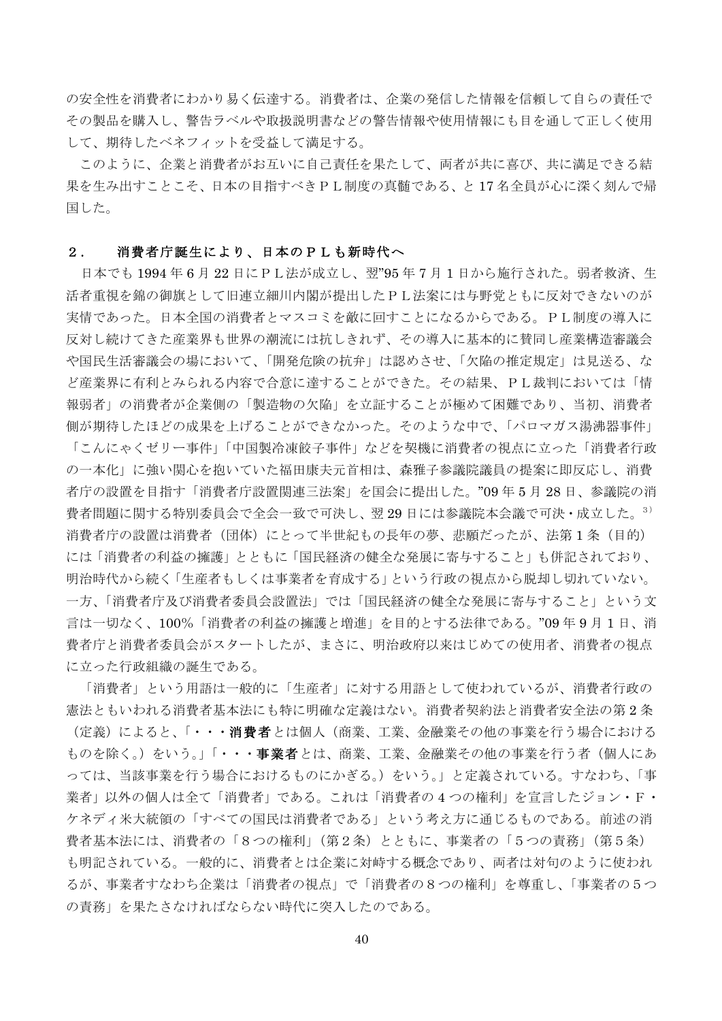の安全性を消費者にわかり易く伝達する。消費者は、企業の発信した情報を信頼して自らの責任で その製品を購入し、警告ラベルや取扱説明書などの警告情報や使用情報にも目を通して正しく使用 して、期待したベネフィットを受益して満足する。

このように、企業と消費者がお互いに自己責任を果たして、両者が共に喜び、共に満足できる結 果を生み出すことこそ、日本の目指すべきPL制度の真髄である、と17名全員が心に深く刻んで帰 国した。

#### 2. 消費者庁誕生により、日本のPLも新時代へ

日本でも1994年6月22日にPL法が成立し、翌"95年7月1日から施行された。弱者救済、生 活者重視を錦の御旗として旧連立細川内閣が提出したPL法案には与野党ともに反対できないのが 実情であった。日本全国の消費者とマスコミを敵に回すことになるからである。PL制度の導入に 反対し続けてきた産業界も世界の潮流には抗しきれず、その導入に基本的に賛同し産業構造審議会 や国民生活審議会の場において、「開発危険の抗弁」は認めさせ、「欠陥の推定規定」は見送る、な ど産業界に有利とみられる内容で合意に達することができた。その結果、PL裁判においては「情 報弱者」の消費者が企業側の「製造物の欠陥」を立証することが極めて困難であり、当初、消費者 側が期待したほどの成果を上げることができなかった。そのような中で、「パロマガス湯沸器事件」 「こんにゃくゼリー事件」「中国製冷凍餃子事件」などを契機に消費者の視点に立った「消費者行政 の一本化」に強い関心を抱いていた福田康夫元首相は、森雅子参議院議員の提案に即反応し、消費 者庁の設置を目指す「消費者庁設置関連三法案」を国会に提出した。"09年5月28日、参議院の消 費者問題に関する特別委員会で全会一致で可決し、翌29日には参議院本会議で可決·成立した。3) 消費者庁の設置は消費者(団体)にとって半世紀もの長年の夢、悲願だったが、法第1条(目的) には「消費者の利益の擁護」とともに「国民経済の健全な発展に寄与すること」も併記されており、 明治時代から続く「生産者もしくは事業者を育成する」という行政の視点から脱却し切れていない。 一方、「消費者庁及び消費者委員会設置法」では「国民経済の健全な発展に寄与すること」という文 言は一切なく、100%「消費者の利益の擁護と増進」を目的とする法律である。"09年9月1日、消 書者庁と消費者委員会がスタートしたが、まさに、明治政府以来はじめての使用者、消費者の視点 に立った行政組織の誕生である。

「消費者」という用語は一般的に「生産者」に対する用語として使われているが、消費者行政の 憲法ともいわれる消費者基本法にも特に明確な定義はない。消費者契約法と消費者安全法の第2条 (定義)によると、「・・・消費者とは個人(商業、工業、金融業その他の事業を行う場合における ものを除く。)をいう。」「・・・事業者とは、商業、工業、金融業その他の事業を行う者(個人にあ っては、当該事業を行う場合におけるものにかぎる。)をいう。」と定義されている。すなわち、「事 業者」以外の個人は全て「消費者」である。これは「消費者の4つの権利」を宣言したジョン·F· ケネディ米大統領の「すべての国民は消費者である」という考え方に通じるものである。前述の消 費者基本法には、消費者の「8つの権利」(第2条)とともに、事業者の「5つの責務」(第5条) も明記されている。一般的に、消費者とは企業に対峙する概念であり、両者は対句のように使われ るが、事業者すなわち企業は「消費者の視点」で「消費者の8つの権利」を尊重し、「事業者の5つ の責務」を果たさなければならない時代に突入したのである。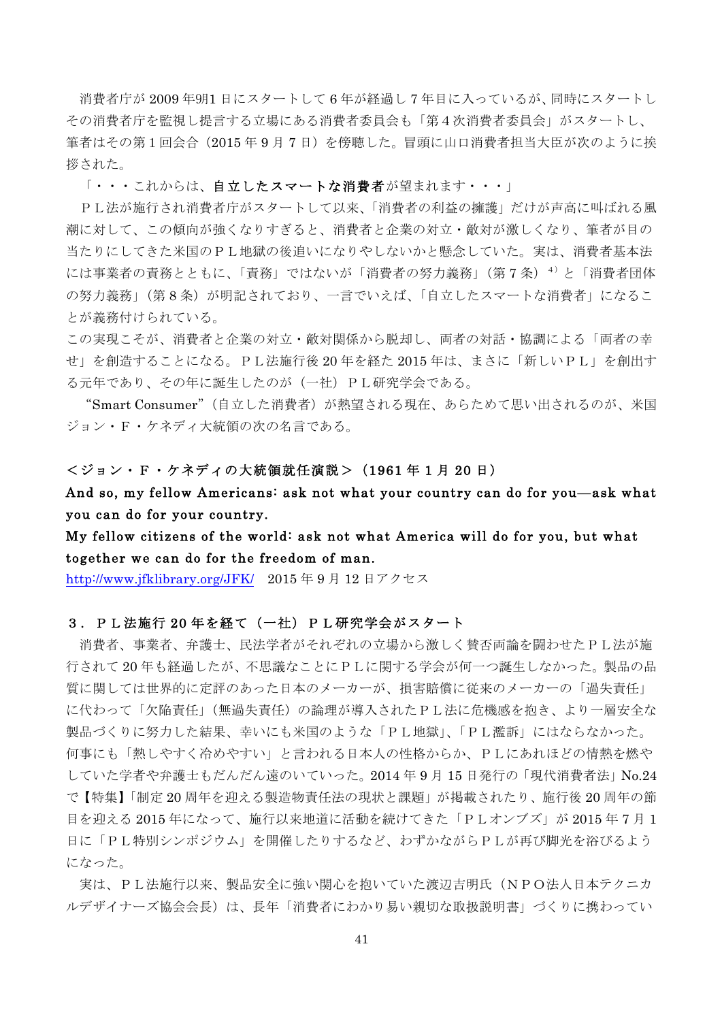消費者庁が 2009年9月1日にスタートして6年が経過し7年目に入っているが、同時にスタートし その消費者庁を監視し提言する立場にある消費者委員会も「第4次消費者委員会」がスタートし、 筆者はその第1回会合(2015年9月7日)を傍聴した。冒頭に山口消費者担当大臣が次のように挨 拶された。

「・・・これからは、自立したスマートな消費者が望まれます・・・」

PL法が施行され消費者庁がスタートして以来、「消費者の利益の擁護」だけが声高に叫ばれる風 潮に対して、この傾向が強くなりすぎると、消費者と企業の対立·敵対が激しくなり、筆者が目の 当たりにしてきた米国のPL地獄の後追いになりやしないかと懸念していた。実は、消費者基本法 には事業者の責務とともに、「責務」ではないが「消費者の努力義務」(第7条) 4)と「消費者団体 の努力義務」(第8条) が明記されており、一言でいえば、「自立したスマートな消費者」になるこ とが義務付けられている。

この実現こそが、消費者と企業の対立·敵対関係から脱却し、両者の対話·協調による「両者の幸 せ」を創造することになる。PL法施行後 20年を経た 2015 年は、まさに「新しいPL」を創出す る元年であり、その年に誕生したのが(一社)PL研究学会である。

"Smart Consumer" (自立した消費者) が熱望される現在、あらためて思い出されるのが、米国 ジョン·F·ケネディ大統領の次の名言である。

#### <ジョン・F・ケネディの大統領就任演説 > (1961年1月20日)

And so, my fellow Americans: ask not what your country can do for you—ask what you can do for your country.

## My fellow citizens of the world: ask not what America will do for you, but what together we can do for the freedom of man.

http://www.jfklibrary.org/JFK/ 2015年9月12日アクセス

#### 3. PL法施行 20年を経て(一社) PL研究学会がスタート

消費者、事業者、弁護士、民法学者がそれぞれの立場から激しく替否両論を闘わせたPL法が施 行されて20年も経過したが、不思議なことにPLに関する学会が何一つ誕生しなかった。 製品の品 質に関しては世界的に定評のあった日本のメーカーが、損害賠償に従来のメーカーの「過失責任」 に代わって「欠陥責任」(無過失責任)の論理が導入されたPL法に危機感を抱き、より一層安全な 製品づくりに努力した結果、幸いにも米国のような「PL地獄」、「PL濫訴」にはならなかった。 何事にも「熱しやすく冷めやすい」と言われる日本人の性格からか、PLにあれほどの情熱を燃や していた学者や弁護士もだんだん遠のいていった。2014年9月15日発行の「現代消費者法」No.24 で【特集】「制定20周年を迎える製造物責任法の現状と課題」が掲載されたり、施行後20周年の節 目を迎える 2015 年になって、施行以来地道に活動を続けてきた「PLオンブズ」が 2015 年7月1 日に「PL特別シンポジウム」を開催したりするなど、わずかながらPLが再び脚光を浴びるよう になった。

実は、PL法施行以来、製品安全に強い関心を抱いていた渡辺吉明氏 (NPO法人日本テクニカ ルデザイナーズ協会会長)は、長年「消費者にわかり易い親切な取扱説明書」づくりに携わってい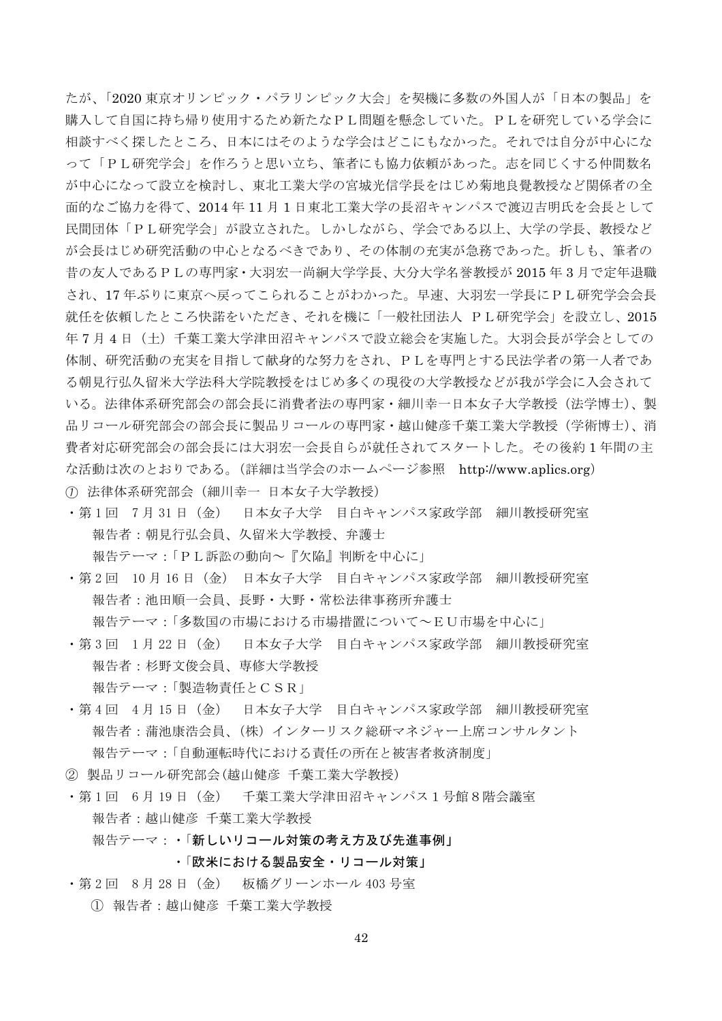たが、「2020 東京オリンピック・パラリンピック大会」を契機に多数の外国人が「日本の製品」を 購入して自国に持ち帰り使用するため新たなPL問題を懸念していた。PLを研究している学会に 相談すべく探したところ、日本にはそのような学会はどこにもなかった。それでは自分が中心にな って「PL研究学会」を作ろうと思い立ち、筆者にも協力依頼があった。志を同じくする仲間数名 が中心になって設立を検討し、東北工業大学の宮城光信学長をはじめ菊地良覺教授など関係者の全 面的なご協力を得て、2014年11月1日東北工業大学の長沼キャンパスで渡辺吉明氏を会長として 民間団体「PL研究学会」が設立された。しかしながら、学会である以上、大学の学長、教授など が会長はじめ研究活動の中心となるべきであり、その体制の充実が急務であった。折しも、筆者の 昔の友人であるPLの専門家·大羽宏一尚絅大学学長、大分大学名誉教授が 2015 年3月で定年退職 され、17年ぶりに東京へ戻ってこられることがわかった。早速、大羽宏一学長にPL研究学会会長 就任を依頼したところ快諾をいただき、それを機に「一般社団法人 PL研究学会」を設立し、2015 年7月4日 (土) 千葉工業大学津田沼キャンパスで設立総会を実施した。大羽会長が学会としての 体制、研究活動の充実を目指して献身的な努力をされ、PLを専門とする民法学者の第一人者であ る朝見行弘久留米大学法科大学院教授をはじめ多くの現役の大学教授などが我が学会に入会されて いる。法律体系研究部会の部会長に消費者法の専門家·細川幸一日本女子大学教授(法学博士)、製 品リコール研究部会の部会長に製品リコールの専門家・越山健彦千葉工業大学教授(学術博士)、消 費者対応研究部会の部会長には大羽宏一会長自らが就任されてスタートした。その後約1年間の主 な活動は次のとおりである。(詳細は当学会のホームページ参照 http://www.aplics.org) ① 法律体系研究部会(細川幸一 日本女子大学教授)

·第1回 7月31日 (金) 日本女子大学 目白キャンパス家政学部 細川教授研究室 報告者:朝見行弘会員、久留米大学教授、弁護士

報告テーマ:「PL訴訟の動向~『欠陥』判断を中心に1

・第2回 10月16日(金) 日本女子大学 目白キャンパス家政学部 細川教授研究室 報告者: 池田順一会員、長野·大野·常松法律事務所弁護士 報告テーマ:「多数国の市場における市場措置について~EU市場を中心に」

- · 第3回 1月22日 (金) 日本女子大学 目白キャンパス家政学部 細川教授研究室 報告者:杉野文俊会員、専修大学教授 報告テーマ:「製造物責任とCSR」
- ・第4回 4月15日(金) 日本女子大学 目白キャンパス家政学部 細川教授研究室 報告者:蒲池康浩会員、(株)インターリスク総研マネジャー上席コンサルタント 報告テーマ:「自動運転時代における責任の所在と被害者救済制度」
- ② 製品リコール研究部会(越山健彦 千葉工業大学教授)
- ・第1回 6月19日(金) 千葉工業大学津田沼キャンパス1号館8階会議室 報告者:越山健彦 千葉工業大学教授 報告テーマ:・「新しいリコール対策の考え方及び先進事例」

・「欧米における製品安全・リコール対策」

· 第2回 8月28日 (金) 板橋グリーンホール 403号室

① 報告者:越山健彦 千葉工業大学教授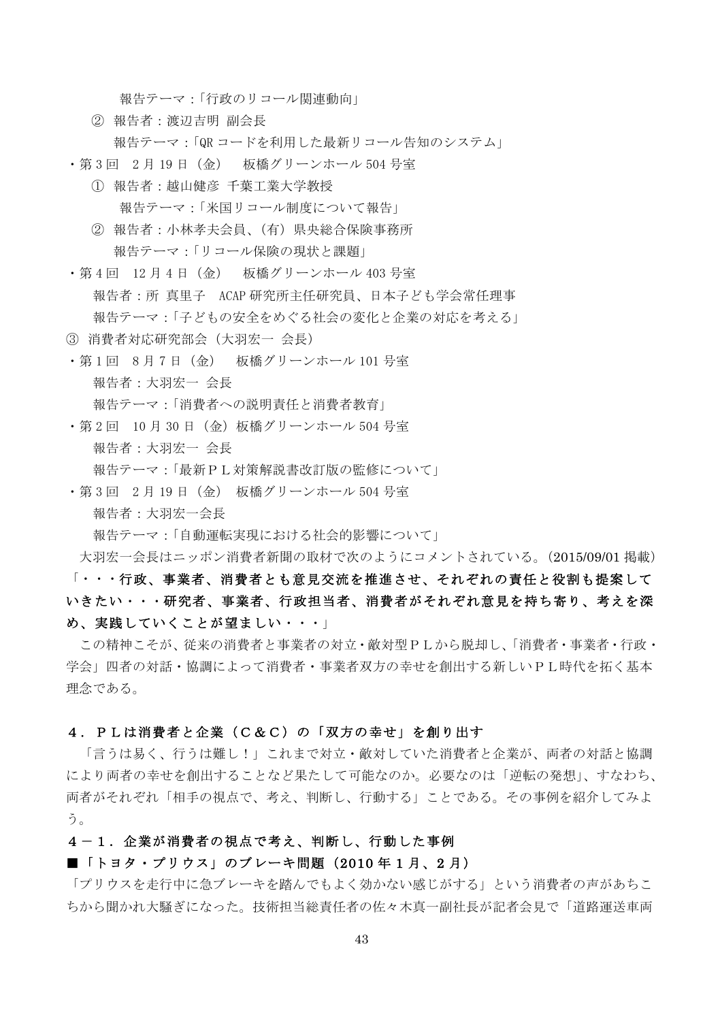報告テーマ:「行政のリコール関連動向」

- ② 報告者: 渡辺吉明 副会長 報告テーマ:「QR コードを利用した最新リコール告知のシステム」
- ・第3回 2月 19 日(金) 板橋グリーンホール 504 号室
	- ① 報告者:越山健彦 千葉工業大学教授 報告テーマ:「米国リコール制度について報告」
	- ② 報告者:小林孝夫会員、(有) 県央総合保険事務所 報告テーマ:「リコール保険の現状と課題」
- · 第4回 12月4日 (金) 板橋グリーンホール 403号室 報告者:所 真里子 ACAP 研究所主任研究員、日本子ども学会常任理事 報告テーマ:「子どもの安全をめぐる社会の変化と企業の対応を考える」
- 3 消費者対応研究部会 (大羽宏一 会長)
- · 第1回 8月7日 (金) 板橋グリーンホール 101号室 報告者:大羽宏一 会長 報告テーマ:「消費者への説明責任と消費者教育」
- · 第2回 10月30日 (金) 板橋グリーンホール 504号室 報告者: 大羽宏一 会長 報告テーマ:「最新PL対策解説書改訂版の監修について」
- · 第3回 2月19日 (金) 板橋グリーンホール 504号室 報告者: 大羽宏一会長
	- 報告テーマ:「自動運転実現における社会的影響について」

大羽宏一会長はニッポン消費者新聞の取材で次のようにコメントされている。(2015/09/01 掲載)

# 「・・・行政、事業者、消費者とも意見交流を推進させ、それぞれの責任と役割も提案して いきたい・・・研究者、事業者、行政担当者、消費者がそれぞれ意見を持ち寄り、考えを深 め、実践していくことが望ましい・・・

この精神こそが、従来の消費者と事業者の対立·敵対型PLから脱却し、「消費者·事業者·行政· 学会」四者の対話·協調によって消費者·事業者双方の幸せを創出する新しいPL時代を拓く基本 理念である。

#### 4. PLは消費者と企業(C&C)の「双方の幸せ」を創り出す

「言うは易く、行うは難し!」これまで対立·敵対していた消費者と企業が、両者の対話と協調 により両者の幸せを創出することなど果たして可能なのか。必要なのは「逆転の発想」、すなわち、 両者がそれぞれ「相手の視点で、考え、判断し、行動する」ことである。その事例を紹介してみよ  $5<sub>o</sub>$ 

### 4-1. 企業が消費者の視点で考え、判断し、行動した事例

### ■「トヨタ・プリウス」のブレーキ間題 (2010年1月、2月)

「プリウスを走行中に急ブレーキを踏んでもよく効かない感じがする」という消費者の声があちこ ちから聞かれ大騒ぎになった。技術担当総責任者の佐々木真一副社長が記者会見で「道路運送車両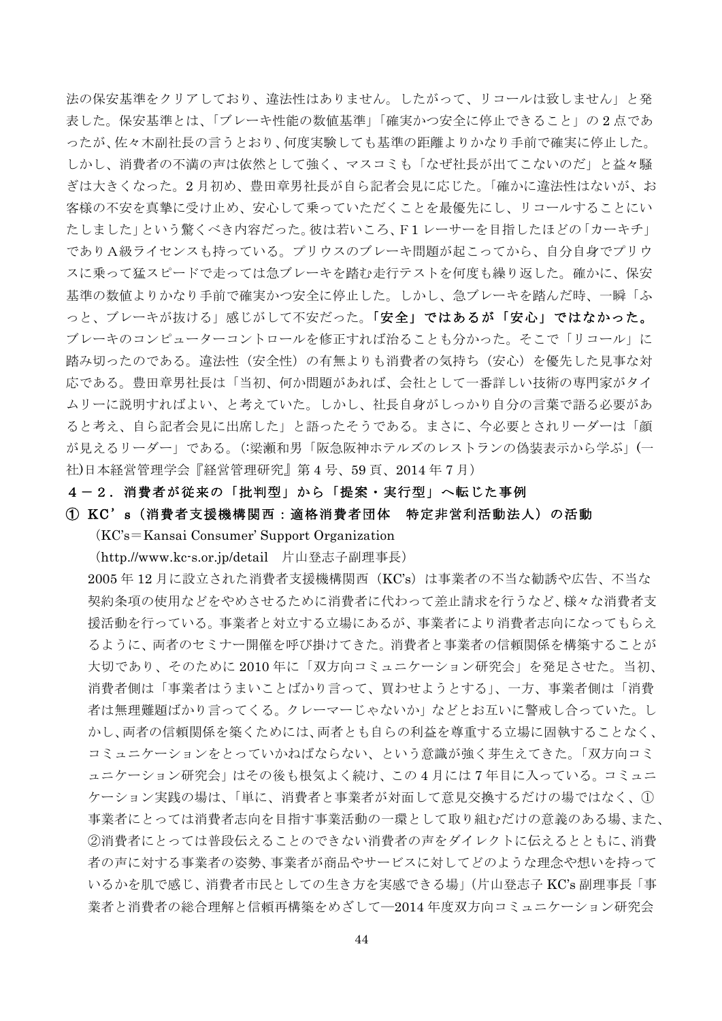法の保安基準をクリアしており、違法性はありません。したがって、リコールは致しません」と発 表した。保安基準とは、「ブレーキ性能の数値基準」「確実かつ安全に停止できること」の2点であ ったが、佐々木副社長の言うとおり、何度実験しても基準の距離よりかなり手前で確実に停止した。 しかし、消費者の不満の声は依然として強く、マスコミも「なぜ社長が出てこないのだ」と益々騒 ぎは大きくなった。2月初め、豊田章男社長が自ら記者会見に応じた。「確かに違法性はないが、お 客様の不安を真摯に受け止め、安心して乗っていただくことを最優先にし、リコールすることにい たしました」という驚くべき内容だった。彼は若いころ、F1レーサーを目指したほどの「カーキチ」 でありA級ライセンスも持っている。プリウスのブレーキ問題が起こってから、自分自身でプリウ スに乗って猛スピードで走っては急ブレーキを踏む走行テストを何度も繰り返した。確かに、保安 基準の数値よりかなり手前で確実かつ安全に停止した。しかし、急ブレーキを踏んだ時、一瞬「ふ っと、ブレーキが抜ける」感じがして不安だった。「安全」ではあるが「安心」ではなかった。 ブレーキのコンピューターコントロールを修正すれば治ることも分かった。そこで「リコール」に 踏み切ったのである。違法性(安全性)の有無よりも消費者の気持ち(安心)を優先した見事な対 応である。豊田章男社長は「当初、何か問題があれば、会社として一番詳しい技術の専門家がタイ ムリーに説明すればよい、と考えていた。しかし、社長自身がしっかり自分の言葉で語る必要があ ると考え、自ら記者会見に出席した」と語ったそうである。まさに、今必要とされリーダーは「顔 が見えるリーダー」である。(:梁瀬和男「阪急阪神ホテルズのレストランの偽装表示から学ぶ」(一 社)日本経営管理学会『経営管理研究』第4号、59頁、2014年7月)

#### 4-2.消費者が従来の「批判型」から「提案・実行型」へ転じた事例

① KC's (消費者支援機構関西:適格消費者団体 特定非営利活動法人)の活動

 $(KC's = Kansai$  Consumer' Support Organization

(http.//www.kc-s.or.jp/detail 片山登志子副理事長)

 $2005$ 年12月に設立された消費者支援機構関西 (KC's)は事業者の不当な勧誘や広告、不当な 契約条項の使用などをやめさせるために消費者に代わって差止請求を行うなど、様々な消費者支 援活動を行っている。事業者と対立する立場にあるが、事業者により消費者志向になってもらえ るように、両者のセミナー開催を呼び掛けてきた。消費者と事業者の信頼関係を構築することが 大切であり、そのために2010年に「双方向コミュニケーション研究会」を発足させた。当初、 消費者側は「事業者はうまいことばかり言って、買わせようとする」、一方、事業者側は「消費 者は無理難題ばかり言ってくる。クレーマーじゃないか」などとお互いに警戒し合っていた。し かし、両者の信頼関係を築くためには、両者とも自らの利益を尊重する立場に固執することなく、 コミュニケーションをとっていかねばならない、という意識が強く芽生えてきた。「双方向コミ ュニケーション研究会」はその後も根気よく続け、この4月には7年目に入っている。コミュニ ケーション実践の場は、「単に、消費者と事業者が対面して意見交換するだけの場ではなく、1 事業者にとっては消費者志向を目指す事業活動の一環として取り組むだけの意義のある場、また、 ②消費者にとっては普段伝えることのできない消費者の声をダイレクトに伝えるとともに、消費 者の声に対する事業者の姿勢、事業者が商品やサービスに対してどのような理念や想いを持って いるかを肌で感じ、消費者市民としての生き方を実感できる場」(片山登志子 KC's 副理事長「事 業者と消費者の総合理解と信頼再構築をめざして––2014 年度双方向コミュニケーション研究会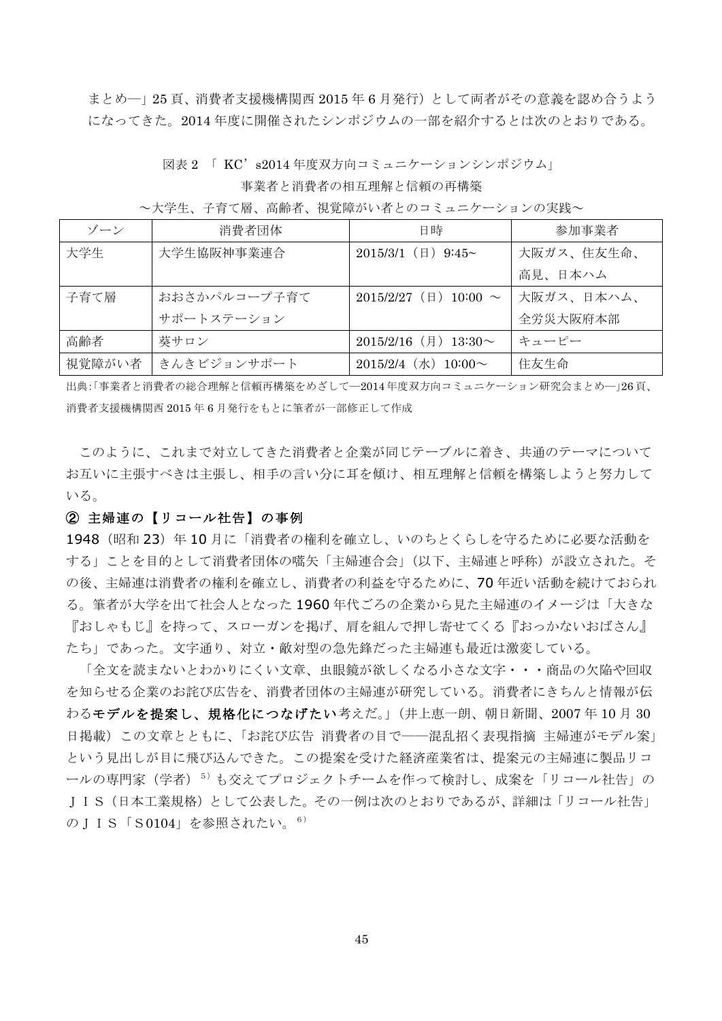まとめー」25頁、消費者支援機構関西 2015年6月発行)として両者がその意義を認め合うよう になってきた。2014年度に開催されたシンポジウムの一部を紹介するとは次のとおりである。

図表 2 「 KC' s2014 年度双方向コミュニケーションシンポジウム」

~大学生、子育て層、高齢者、視覚障がい者とのコミュニケーションの実践~

| ゾーン    | 消費者団体        | 日時                                    | 参加事業者      |
|--------|--------------|---------------------------------------|------------|
| 大学生    | 大学生協阪神事業連合   | 2015/3/1 ( $\boxplus$ ) 9:45~         | 大阪ガス、住友生命、 |
|        |              |                                       | 高見、日本ハム    |
| 子育て層   | おおさかパルコープ子育て | 2015/2/27 ( $\boxplus$ ) 10:00 $\sim$ | 大阪ガス、日本ハム、 |
|        | サポートステーション   |                                       | 全労災大阪府本部   |
| 高齢者    | 葵サロン         | $2015/2/16$ (月) $13:30 \sim$          | キューピー      |
| 視覚障がい者 | きんきビジョンサポート  | 2015/2/4 $(\pi)$ 10:00 $\sim$         | 住友生命       |

出典:「事業者と消費者の総合理解と信頼再構築をめざして一2014年度双方向コミュニケーション研究会まとめー」26頁、 消費者支援機構関西 2015年6月発行をもとに筆者が一部修正して作成

このように、これまで対立してきた消費者と企業が同じテーブルに着き、共通のテーマについて お互いに主張すべきは主張し、相手の言い分に耳を傾け、相互理解と信頼を構築しようと努力して いる。

### ② 主婦連の【リコール社告】の事例

1948 (昭和23)年10月に「消費者の権利を確立し、いのちとくらしを守るために必要な活動を する」ことを目的として消費者団体の嚆矢「主婦連合会」(以下、主婦連と呼称) が設立された。そ の後、主婦連は消費者の権利を確立し、消費者の利益を守るために、70年近い活動を続けておられ る。筆者が大学を出て社会人となった1960年代ごろの企業から見た主婦連のイメージは「大きな 『おしゃもじ』を持って、スローガンを掲げ、肩を組んで押し寄せてくる『おっかないおばさん』 たち」であった。文字通り、対立・敵対型の急先鋒だった主婦連も最近は激変している。

「全文を読まないとわかりにくい文章、虫眼鏡が欲しくなる小さな文字・・・商品の欠陥や回収 を知らせる企業のお詫び広告を、消費者団体の主婦連が研究している。消費者にきちんと情報が伝 わるモデルを提案し、規格化につなげたい考えだ。」(井上恵一朗、朝日新聞、2007年10月30 日掲載)この文章とともに、「お詫び広告 消費者の目で――混乱招く表現指摘 主婦連がモデル案」 という見出しが目に飛び込んできた。この提案を受けた経済産業省は、提案元の主婦連に製品リコ ールの専門家(学者)<sup>5)</sup>も交えてプロジェクトチームを作って検討し、成案を「リコール社告」の J I S (日本工業規格) として公表した。その一例は次のとおりであるが、詳細は「リコール社告」 のJIS「S0104」を参照されたい。<sup>6)</sup>

事業者と消費者の相互理解と信頼の再構築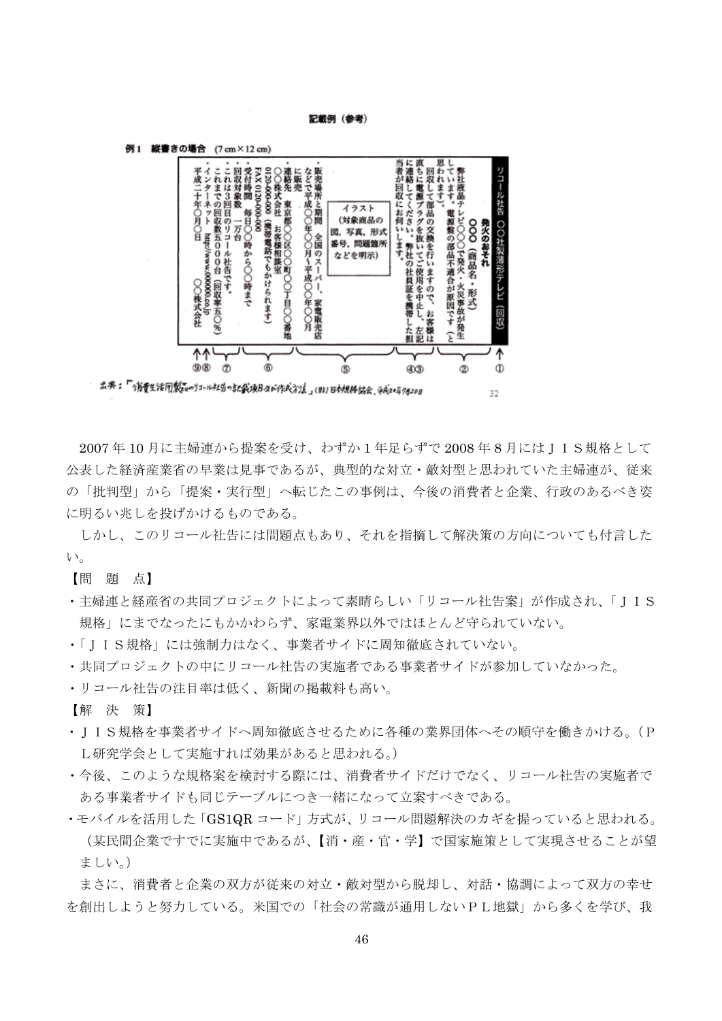#### 記載例 (参考)



2007年10月に主婦連から提案を受け、わずか1年足らずで2008年8月にはIIS規格として 公表した経済産業省の早業は見事であるが、典型的な対立·敵対型と思われていた主婦連が、従来 の「批判型」から「提案・実行型」へ転じたこの事例は、今後の消費者と企業、行政のあるべき姿 に明るい兆しを投げかけるものである。

しかし、このリコール社告には問題点もあり、それを指摘して解決策の方向についても付言した  $V_{\alpha}$ 

【問題点】

- · 主婦連と経産省の共同プロジェクトによって素晴らしい「リコール社告案」が作成され、「IIS 規格」にまでなったにもかかわらず、家雷業界以外ではほとんど守られていない。
- ·「IIS規格」には強制力はなく、事業者サイドに周知徹底されていない。
- ・共同プロジェクトの中にリコール社告の実施者である事業者サイドが参加していなかった。
- •リコール社告の注目率は低く、新聞の掲載料も高い。

【解決策】

- · I I S規格を事業者サイドへ周知徹底させるために各種の業界団体へその順守を働きかける。(P L研究学会として実施すれば効果があると思われる。)
- ・今後、このような規格案を検討する際には、消費者サイドだけでなく、リコール社告の実施者で ある事業者サイドも同じテーブルにつき一緒になって立案すべきである。
- ·モバイルを活用した「GS1QR コード」方式が、リコール問題解決のカギを握っていると思われる。 (某民間企業ですでに実施中であるが、【消・産・官・学】で国家施策として実現させることが望 ましい。)

まさに、消費者と企業の双方が従来の対立・敵対型から脱却し、対話・協調によって双方の幸せ を創出しようと努力している。米国での「社会の常識が通用しないPL地獄」から多くを学び、我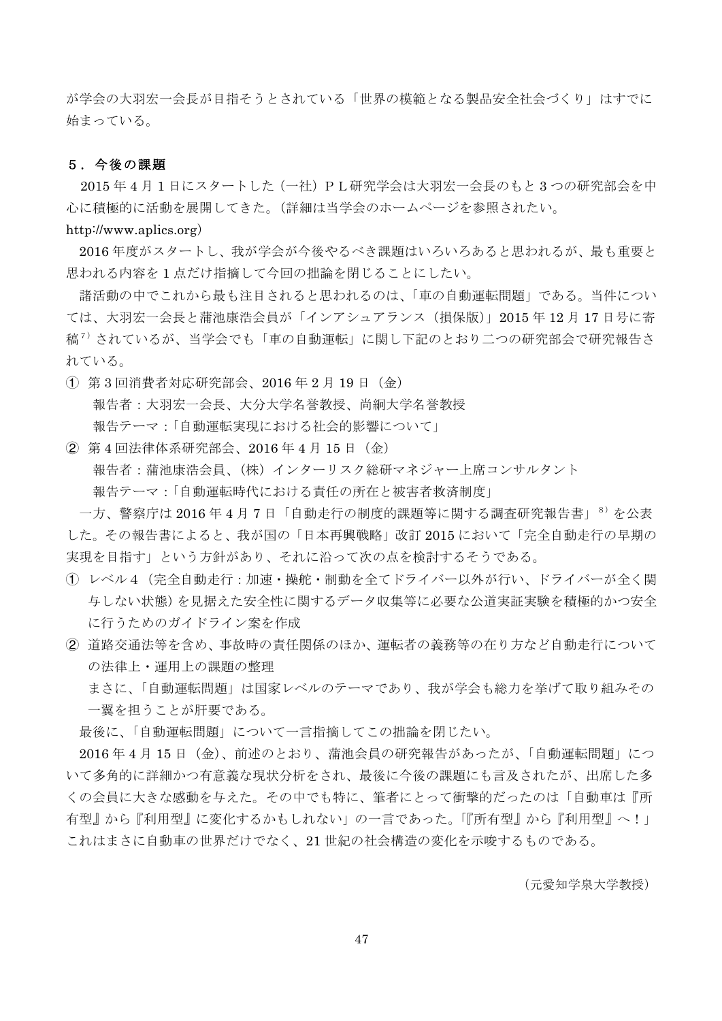が学会の大羽宏一会長が目指そうとされている「世界の模範となる製品安全社会づくり」はすでに 始まっている。

#### 5.今後の課題

2015 年4月1日にスタートした (一社) PL研究学会は大羽宏一会長のもと3つの研究部会を中 心に積極的に活動を展開してきた。(詳細は当学会のホームページを参照されたい。

http://www.aplics.org)

2016年度がスタートし、我が学会が今後やるべき課題はいろいろあると思われるが、最も重要と 思われる内容を1点だけ指摘して今回の拙論を閉じることにしたい。

諸活動の中でこれから最も注目されると思われるのは、「車の自動運転問題」である。当件につい ては、大羽宏一会長と蒲池康浩会員が「インアシュアランス (損保版)」2015年12月17日号に寄 稿 $^{7)}$ されているが、当学会でも「車の自動運転」に関し下記のとおり二つの研究部会で研究報告さ れている。

- $(1)$  第3回消費者対応研究部会、2016年2月19日 (金) 報告者:大羽宏一会長、大分大学名誉教授、尚絅大学名誉教授 報告テーマ:「自動運転実現における社会的影響について」
- ② 第4回法律体系研究部会、2016 年4月 15 日(金) 報告者:蒲池康浩会員、(株) インターリスク総研マネジャー上席コンサルタント 報告テーマ:「自動運転時代における責任の所在と被害者救済制度」

一方、警察庁は 2016年4月7日「自動走行の制度的課題等に関する調査研究報告書」<sup>8)</sup>を公表 した。その報告書によると、我が国の「日本再興戦略」改訂 2015 において「完全自動走行の早期の 実現を目指す」という方針があり、それに沿って次の点を検討するそうである。

- (T) レベル4 (完全自動走行: 加速·操舵·制動を全てドライバー以外が行い、ドライバーが全く関 与しない状態)を見据えた安全性に関するデータ収集等に必要な公道実証実験を積極的かつ安全 に行うためのガイドライン案を作成
- ② 道路交通法等を含め、事故時の責任関係のほか、運転者の義務等の在り方など自動走行について の法律上・運用上の課題の整理

まさに、「自動運転問題」は国家レベルのテーマであり、我が学会も総力を挙げて取り組みその 一翼を担うことが肝要である。

最後に、「自動運転問題」について一言指摘してこの拙論を閉じたい。

2016年4月15日 (金)、前述のとおり、蒲池会員の研究報告があったが、「自動運転問題」につ いて多角的に詳細かつ有意義な現状分析をされ、最後に今後の課題にも言及されたが、出席した多 くの会員に大きな感動を与えた。その中でも特に、筆者にとって衝撃的だったのは「自動車は『所 有型』から『利用型』に変化するかもしれない」の一言であった。「『所有型』から『利用型』へ!」 これはまさに自動車の世界だけでなく、21世紀の社会構造の変化を示唆するものである。

(元愛知学泉大学教授)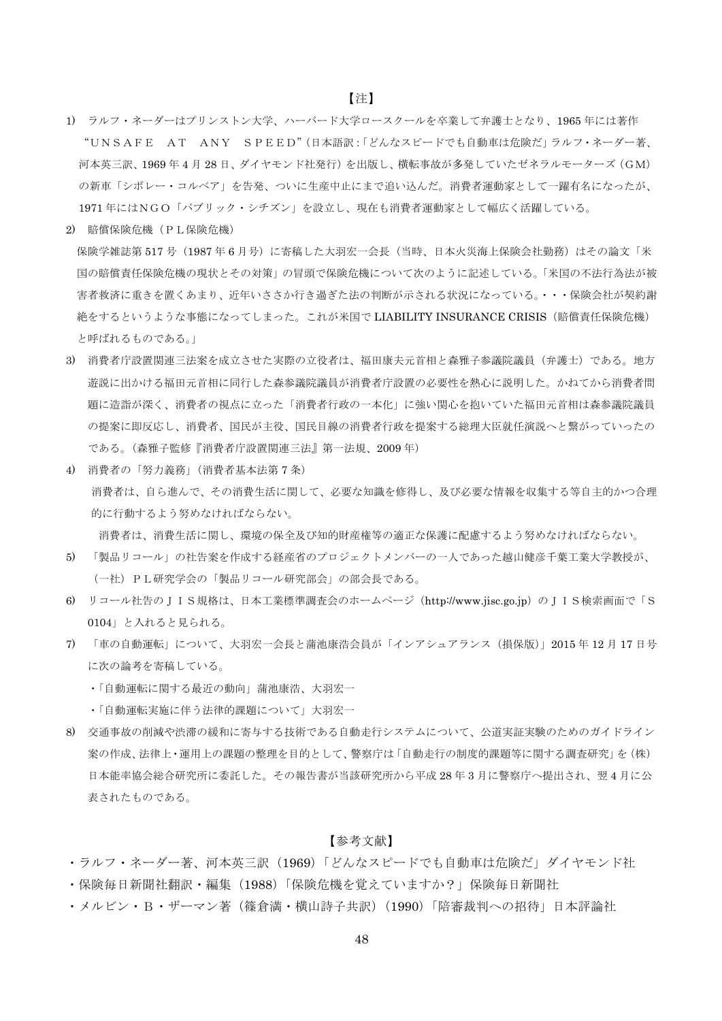- 1) ラルフ・ネーダーはプリンストン大学、ハーバード大学ロースクールを卒業して弁護士となり、1965年には著作 "UNSAFE AT ANY SPEED"(日本語訳:「どんなスピードでも自動車は危険だ」ラルフ・ネーダー著、 河本英三訳、1969年4月28日、ダイヤモンド社発行)を出版し、横転事故が多発していたゼネラルモーターズ (GM) の新車「シボレー・コルベア」を告発、ついに生産中止にまで追い込んだ。消費者運動家として一躍有名になったが、 1971年にはNGO「パブリック・シチズン」を設立し、現在も消費者運動家として幅広く活躍している。
- 2) 賠償保険危機 (PL保険危機)

保険学雑誌第517号 (1987年6月号)に寄稿した大羽宏一会長(当時、日本火災海上保険会社勤務)はその論文「米 国の賠償責任保険危機の現状とその対策」の冒頭で保険危機について次のように記述している。「米国の不法行為法が被 害者救済に重きを置くあまり、近年いささか行き過ぎた法の判断が示される状況になっている。・・・保険会社が契約謝 絶をするというような事態になってしまった。これが米国でLIABILITY INSURANCE CRISIS (賠償責任保険危機) と呼ばれるものである。」

- 3) 消費者庁設置関連三法案を成立させた実際の立役者は、福田康夫元首相と森雅子参議院議員(弁護士)である。地方 游説に出かける福田元首相に同行した森参議院議員が消費者庁設置の必要性を熱心に説明した。かねてから消費者問 題に造詣が深く、消費者の視点に立った「消費者行政の一本化」に強い関心を抱いていた福田元首相は森参議院議員 の提案に即反応し、消費者、国民が主役、国民目線の消費者行政を提案する総理大臣就任演説へと繋がっていったの である。(森雅子監修『消費者庁設置関連三法』第一法規、2009年)
- 4) 消費者の「努力義務」(消費者基本法第7条) 消費者は、自ら進んで、その消費生活に関して、必要な知識を修得し、及び必要な情報を収集する等自主的かつ合理 的に行動するよう努めなければならない。

消費者は、消費生活に関し、環境の保全及び知的財産権等の適正な保護に配慮するよう努めなければならない。

- 「製品リコール」の社告案を作成する経産省のプロジェクトメンバーの一人であった越山健彦千葉工業大学教授が、  $5)$ (一社) PL研究学会の「製品リコール研究部会」の部会長である。
- 6) リコール社告のJIS規格は、日本工業標準調査会のホームページ (http://www.jisc.go.jp) のJIS検索画面で「S 0104」と入れると見られる。
- 7) 「車の自動運転」について、大羽宏一会長と蒲池康浩会員が「インアシュアランス(損保版)」2015年12月17日号 に次の論考を寄稿している。
	- •「自動運転に関する最近の動向」蒲池康浩、大羽宏一
	- •「自動運転実施に伴う法律的課題について」大羽宏一
- 8) 交通事故の削減や渋滞の緩和に寄与する技術である自動走行システムについて、公道実証実験のためのガイドライン 案の作成、法律上・運用上の課題の整理を目的として、警察庁は「自動走行の制度的課題等に関する調査研究」を(株) 日本能率協会総合研究所に委託した。その報告書が当該研究所から平成28年3月に警察庁へ提出され、翌4月に公 表されたものである。

#### 【参考文献】

- ・ラルフ・ネーダー著、河本英三訳(1969)「どんなスピードでも自動車は危険だ」ダイヤモンド社
- ・保険毎日新聞社翻訳・編集(1988)「保険危機を覚えていますか?」保険毎日新聞社
- ・メルビン・B ・ザーマン著(篠倉満・横山詩子共訳)(1990)「陪審裁判への招待」日本評論社